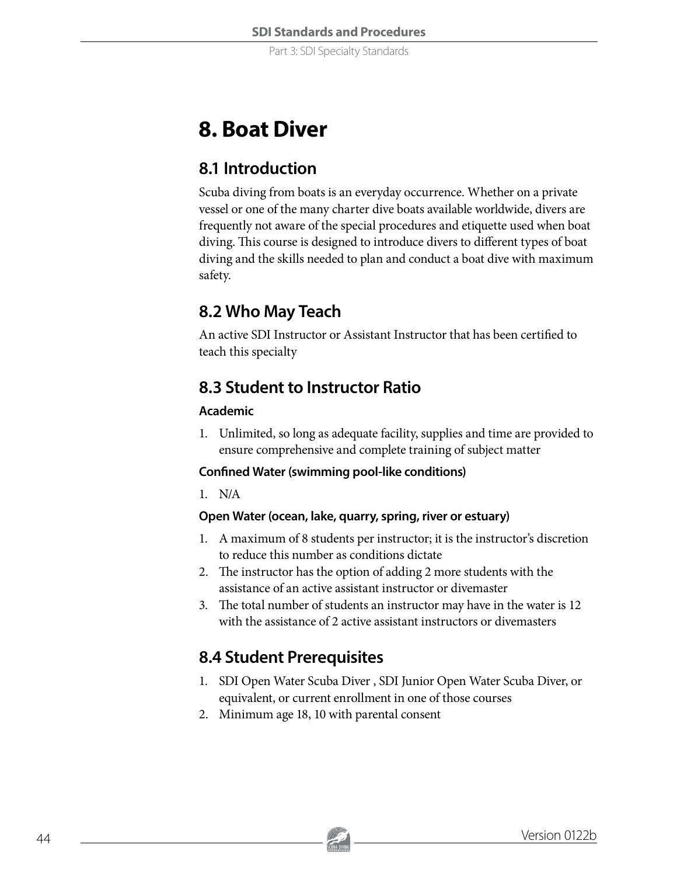Part 3: SDI Specialty Standards

# **8. Boat Diver**

## **8.1 Introduction**

Scuba diving from boats is an everyday occurrence. Whether on a private vessel or one of the many charter dive boats available worldwide, divers are frequently not aware of the special procedures and etiquette used when boat diving. This course is designed to introduce divers to different types of boat diving and the skills needed to plan and conduct a boat dive with maximum safety.

# **8.2 Who May Teach**

An active SDI Instructor or Assistant Instructor that has been certified to teach this specialty

## **8.3 Student to Instructor Ratio**

#### **Academic**

1. Unlimited, so long as adequate facility, supplies and time are provided to ensure comprehensive and complete training of subject matter

#### **Confined Water (swimming pool-like conditions)**

1. N/A

#### **Open Water (ocean, lake, quarry, spring, river or estuary)**

- 1. A maximum of 8 students per instructor; it is the instructor's discretion to reduce this number as conditions dictate
- 2. The instructor has the option of adding 2 more students with the assistance of an active assistant instructor or divemaster
- 3. The total number of students an instructor may have in the water is 12 with the assistance of 2 active assistant instructors or divemasters

# **8.4 Student Prerequisites**

- 1. SDI Open Water Scuba Diver , SDI Junior Open Water Scuba Diver, or equivalent, or current enrollment in one of those courses
- 2. Minimum age 18, 10 with parental consent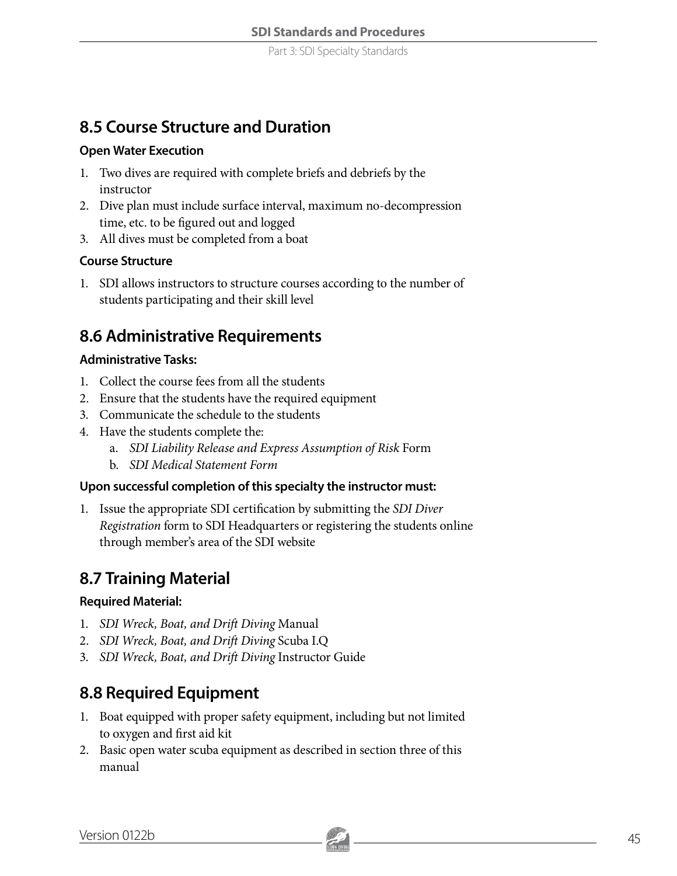### **8.5 Course Structure and Duration**

#### **Open Water Execution**

- 1. Two dives are required with complete briefs and debriefs by the instructor
- 2. Dive plan must include surface interval, maximum no-decompression time, etc. to be figured out and logged
- 3. All dives must be completed from a boat

#### **Course Structure**

1. SDI allows instructors to structure courses according to the number of students participating and their skill level

### **8.6 Administrative Requirements**

#### **Administrative Tasks:**

- 1. Collect the course fees from all the students
- 2. Ensure that the students have the required equipment
- 3. Communicate the schedule to the students
- 4. Have the students complete the:
	- a. *SDI Liability Release and Express Assumption of Risk* Form
	- b. *SDI Medical Statement Form*

#### **Upon successful completion of this specialty the instructor must:**

1. Issue the appropriate SDI certification by submitting the *SDI Diver Registration* form to SDI Headquarters or registering the students online through member's area of the SDI website

### **8.7 Training Material**

#### **Required Material:**

- 1. *SDI Wreck, Boat, and Drift Diving* Manual
- 2. *SDI Wreck, Boat, and Drift Diving* Scuba I.Q
- 3. *SDI Wreck, Boat, and Drift Diving* Instructor Guide

### **8.8 Required Equipment**

- 1. Boat equipped with proper safety equipment, including but not limited to oxygen and first aid kit
- 2. Basic open water scuba equipment as described in section three of this manual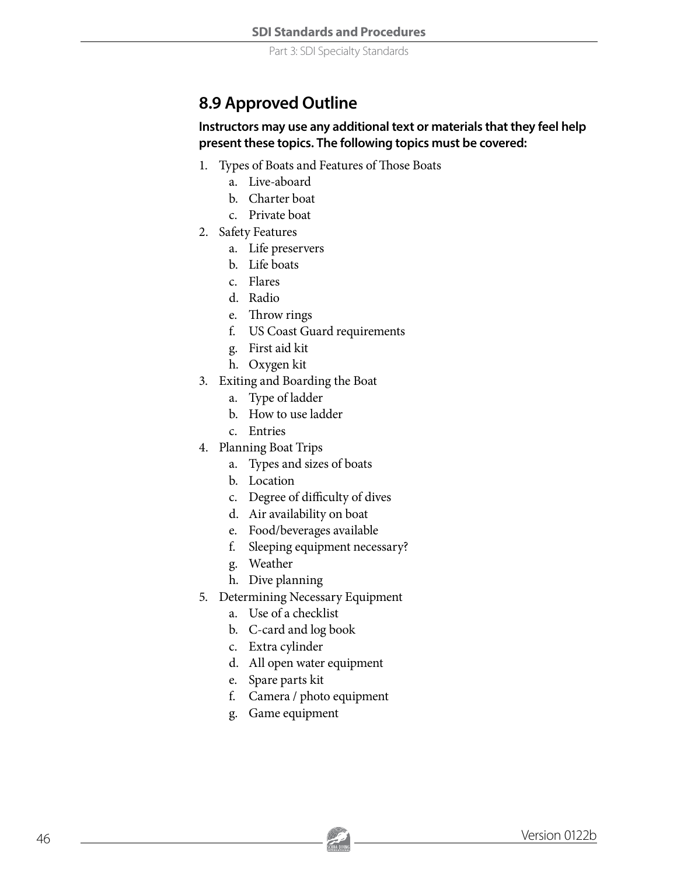Part 3: SDI Specialty Standards

### **8.9 Approved Outline**

#### **Instructors may use any additional text or materials that they feel help present these topics. The following topics must be covered:**

- 1. Types of Boats and Features of Those Boats
	- a. Live-aboard
	- b. Charter boat
	- c. Private boat
- 2. Safety Features
	- a. Life preservers
	- b. Life boats
	- c. Flares
	- d. Radio
	- e. Throw rings
	- f. US Coast Guard requirements
	- g. First aid kit
	- h. Oxygen kit
- 3. Exiting and Boarding the Boat
	- a. Type of ladder
	- b. How to use ladder
	- c. Entries
- 4. Planning Boat Trips
	- a. Types and sizes of boats
	- b. Location
	- c. Degree of difficulty of dives
	- d. Air availability on boat
	- e. Food/beverages available
	- f. Sleeping equipment necessary?
	- g. Weather
	- h. Dive planning
- 5. Determining Necessary Equipment
	- a. Use of a checklist
	- b. C-card and log book
	- c. Extra cylinder
	- d. All open water equipment
	- e. Spare parts kit
	- f. Camera / photo equipment
	- g. Game equipment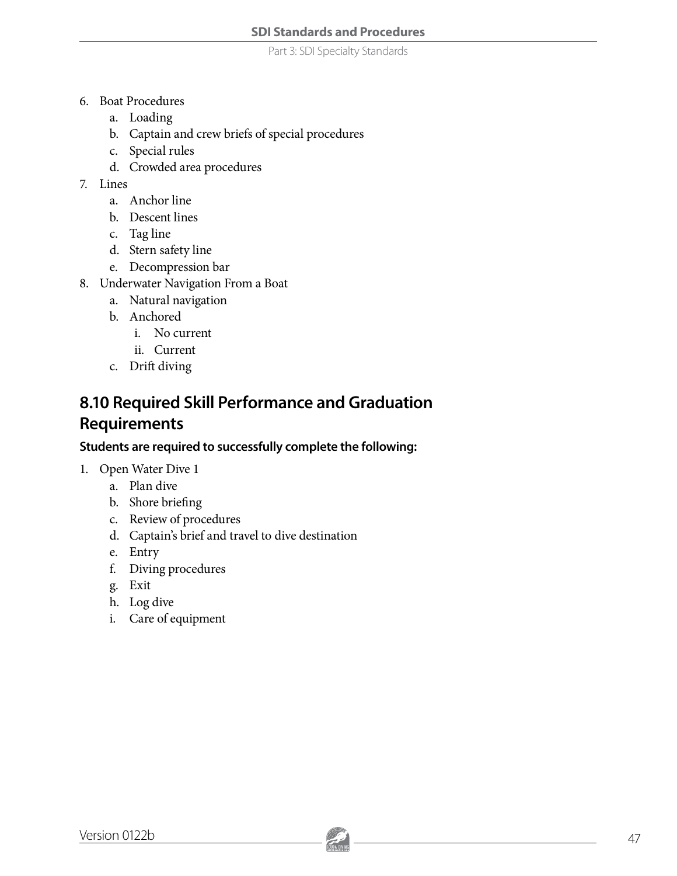Part 3: SDI Specialty Standards

- 6. Boat Procedures
	- a. Loading
	- b. Captain and crew briefs of special procedures
	- c. Special rules
	- d. Crowded area procedures
- 7. Lines
	- a. Anchor line
	- b. Descent lines
	- c. Tag line
	- d. Stern safety line
	- e. Decompression bar
- 8. Underwater Navigation From a Boat
	- a. Natural navigation
	- b. Anchored
		- i. No current
		- ii. Current
	- c. Drift diving

### **8.10 Required Skill Performance and Graduation Requirements**

#### **Students are required to successfully complete the following:**

- 1. Open Water Dive 1
	- a. Plan dive
	- b. Shore briefing
	- c. Review of procedures
	- d. Captain's brief and travel to dive destination
	- e. Entry
	- f. Diving procedures
	- g. Exit
	- h. Log dive
	- i. Care of equipment